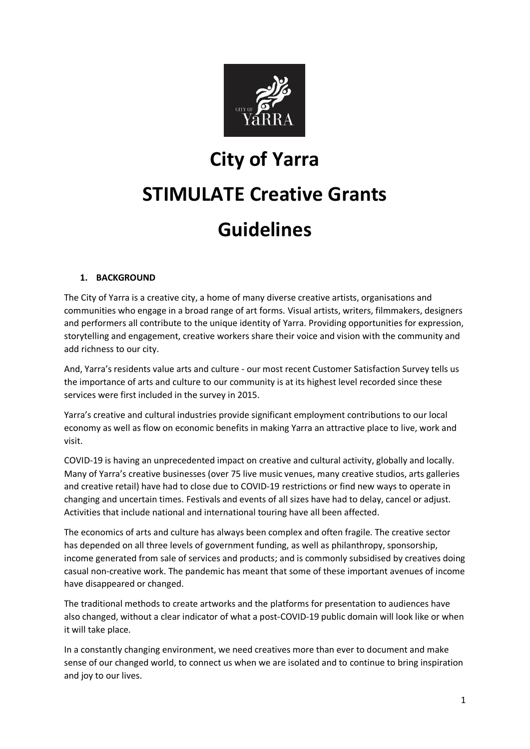

# **City of Yarra**

# **STIMULATE Creative Grants Guidelines**

# **1. BACKGROUND**

The City of Yarra is a creative city, a home of many diverse creative artists, organisations and communities who engage in a broad range of art forms. Visual artists, writers, filmmakers, designers and performers all contribute to the unique identity of Yarra. Providing opportunities for expression, storytelling and engagement, creative workers share their voice and vision with the community and add richness to our city.

And, Yarra's residents value arts and culture - our most recent Customer Satisfaction Survey tells us the importance of arts and culture to our community is at its highest level recorded since these services were first included in the survey in 2015.

Yarra's creative and cultural industries provide significant employment contributions to our local economy as well as flow on economic benefits in making Yarra an attractive place to live, work and visit.

COVID-19 is having an unprecedented impact on creative and cultural activity, globally and locally. Many of Yarra's creative businesses (over 75 live music venues, many creative studios, arts galleries and creative retail) have had to close due to COVID-19 restrictions or find new ways to operate in changing and uncertain times. Festivals and events of all sizes have had to delay, cancel or adjust. Activities that include national and international touring have all been affected.

The economics of arts and culture has always been complex and often fragile. The creative sector has depended on all three levels of government funding, as well as philanthropy, sponsorship, income generated from sale of services and products; and is commonly subsidised by creatives doing casual non-creative work. The pandemic has meant that some of these important avenues of income have disappeared or changed.

The traditional methods to create artworks and the platforms for presentation to audiences have also changed, without a clear indicator of what a post-COVID-19 public domain will look like or when it will take place.

In a constantly changing environment, we need creatives more than ever to document and make sense of our changed world, to connect us when we are isolated and to continue to bring inspiration and joy to our lives.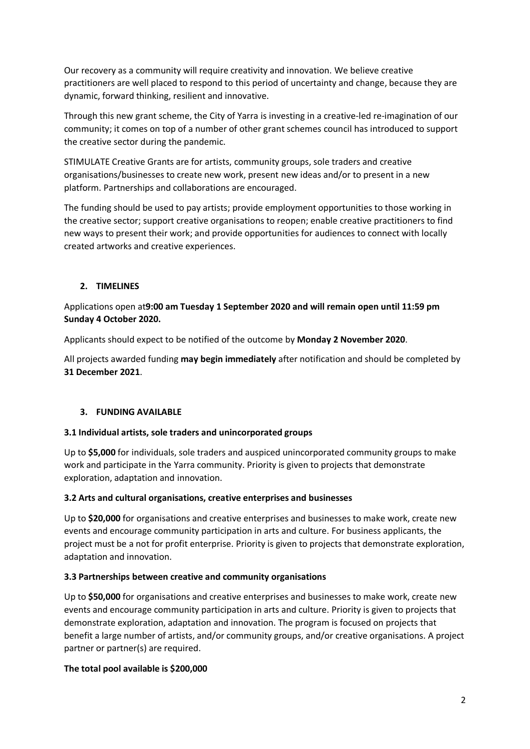Our recovery as a community will require creativity and innovation. We believe creative practitioners are well placed to respond to this period of uncertainty and change, because they are dynamic, forward thinking, resilient and innovative.

Through this new grant scheme, the City of Yarra is investing in a creative-led re-imagination of our community; it comes on top of a number of other grant schemes council has introduced to support the creative sector during the pandemic.

STIMULATE Creative Grants are for artists, community groups, sole traders and creative organisations/businesses to create new work, present new ideas and/or to present in a new platform. Partnerships and collaborations are encouraged.

The funding should be used to pay artists; provide employment opportunities to those working in the creative sector; support creative organisations to reopen; enable creative practitioners to find new ways to present their work; and provide opportunities for audiences to connect with locally created artworks and creative experiences.

# **2. TIMELINES**

# Applications open at**9:00 am Tuesday 1 September 2020 and will remain open until 11:59 pm Sunday 4 October 2020.**

Applicants should expect to be notified of the outcome by **Monday 2 November 2020**.

All projects awarded funding **may begin immediately** after notification and should be completed by **31 December 2021**.

#### **3. FUNDING AVAILABLE**

#### **3.1 Individual artists, sole traders and unincorporated groups**

Up to **\$5,000** for individuals, sole traders and auspiced unincorporated community groups to make work and participate in the Yarra community. Priority is given to projects that demonstrate exploration, adaptation and innovation.

#### **3.2 Arts and cultural organisations, creative enterprises and businesses**

Up to **\$20,000** for organisations and creative enterprises and businesses to make work, create new events and encourage community participation in arts and culture. For business applicants, the project must be a not for profit enterprise. Priority is given to projects that demonstrate exploration, adaptation and innovation.

#### **3.3 Partnerships between creative and community organisations**

Up to **\$50,000** for organisations and creative enterprises and businesses to make work, create new events and encourage community participation in arts and culture. Priority is given to projects that demonstrate exploration, adaptation and innovation. The program is focused on projects that benefit a large number of artists, and/or community groups, and/or creative organisations. A project partner or partner(s) are required.

#### **The total pool available is \$200,000**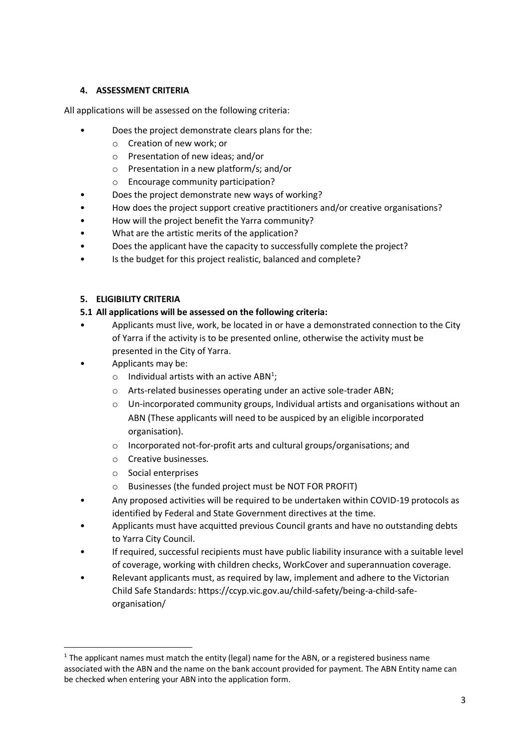#### **4. ASSESSMENT CRITERIA**

All applications will be assessed on the following criteria:

- Does the project demonstrate clears plans for the:
	- o Creation of new work; or
	- o Presentation of new ideas; and/or
	- o Presentation in a new platform/s; and/or
	- o Encourage community participation?
- Does the project demonstrate new ways of working?
- How does the project support creative practitioners and/or creative organisations?
- How will the project benefit the Yarra community?
- What are the artistic merits of the application?
- Does the applicant have the capacity to successfully complete the project?
- Is the budget for this project realistic, balanced and complete?

#### **5. ELIGIBILITY CRITERIA**

#### **5.1 All applications will be assessed on the following criteria:**

- Applicants must live, work, be located in or have a demonstrated connection to the City of Yarra if the activity is to be presented online, otherwise the activity must be presented in the City of Yarra.
- Applicants may be:
	- $\circ$  Individual artists with an active ABN<sup>1</sup>;
	- o Arts-related businesses operating under an active sole-trader ABN;
	- $\circ$  Un-incorporated community groups, Individual artists and organisations without an ABN (These applicants will need to be auspiced by an eligible incorporated organisation).
	- o Incorporated not-for-profit arts and cultural groups/organisations; and
	- o Creative businesses.
	- o Social enterprises

**.** 

- o Businesses (the funded project must be NOT FOR PROFIT)
- Any proposed activities will be required to be undertaken within COVID-19 protocols as identified by Federal and State Government directives at the time.
- Applicants must have acquitted previous Council grants and have no outstanding debts to Yarra City Council.
- If required, successful recipients must have public liability insurance with a suitable level of coverage, working with children checks, WorkCover and superannuation coverage.
- Relevant applicants must, as required by law, implement and adhere to the Victorian Child Safe Standards: https://ccyp.vic.gov.au/child-safety/being-a-child-safeorganisation/

 $1$  The applicant names must match the entity (legal) name for the ABN, or a registered business name associated with the ABN and the name on the bank account provided for payment. The ABN Entity name can be checked when entering your ABN into the application form.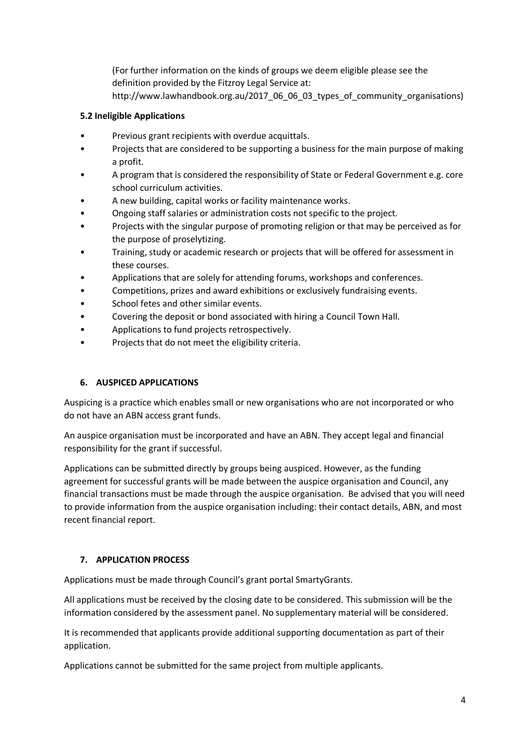(For further information on the kinds of groups we deem eligible please see the definition provided by the Fitzroy Legal Service at:

http://www.lawhandbook.org.au/2017\_06\_06\_03\_types\_of\_community\_organisations)

# **5.2 Ineligible Applications**

- Previous grant recipients with overdue acquittals.
- Projects that are considered to be supporting a business for the main purpose of making a profit.
- A program that is considered the responsibility of State or Federal Government e.g. core school curriculum activities.
- A new building, capital works or facility maintenance works.
- Ongoing staff salaries or administration costs not specific to the project.
- Projects with the singular purpose of promoting religion or that may be perceived as for the purpose of proselytizing.
- Training, study or academic research or projects that will be offered for assessment in these courses.
- Applications that are solely for attending forums, workshops and conferences.
- Competitions, prizes and award exhibitions or exclusively fundraising events.
- School fetes and other similar events.
- Covering the deposit or bond associated with hiring a Council Town Hall.
- Applications to fund projects retrospectively.
- Projects that do not meet the eligibility criteria.

#### **6. AUSPICED APPLICATIONS**

Auspicing is a practice which enables small or new organisations who are not incorporated or who do not have an ABN access grant funds.

An auspice organisation must be incorporated and have an ABN. They accept legal and financial responsibility for the grant if successful.

Applications can be submitted directly by groups being auspiced. However, as the funding agreement for successful grants will be made between the auspice organisation and Council, any financial transactions must be made through the auspice organisation. Be advised that you will need to provide information from the auspice organisation including: their contact details, ABN, and most recent financial report.

#### **7. APPLICATION PROCESS**

Applications must be made through Council's grant portal SmartyGrants.

All applications must be received by the closing date to be considered. This submission will be the information considered by the assessment panel. No supplementary material will be considered.

It is recommended that applicants provide additional supporting documentation as part of their application.

Applications cannot be submitted for the same project from multiple applicants.